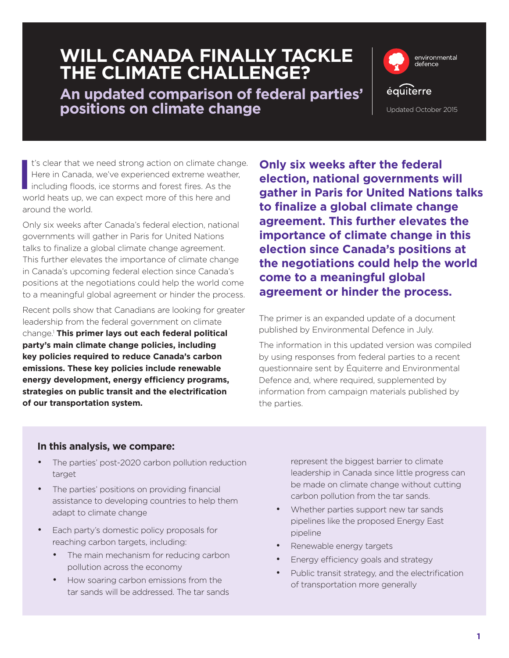## **WILL CANADA FINALLY TACKLE THE CLIMATE CHALLENGE?**

**An updated comparison of federal parties' positions on climate change** The Updated October 2015



**I** t's clear that we need strong action on climate change. Here in Canada, we've experienced extreme weather, including floods, ice storms and forest fires. As the world heats up, we can expect more of this here and around the world.

Only six weeks after Canada's federal election, national governments will gather in Paris for United Nations talks to finalize a global climate change agreement. This further elevates the importance of climate change in Canada's upcoming federal election since Canada's positions at the negotiations could help the world come to a meaningful global agreement or hinder the process.

Recent polls show that Canadians are looking for greater leadership from the federal government on climate change.1 **This primer lays out each federal political party's main climate change policies, including key policies required to reduce Canada's carbon emissions. These key policies include renewable energy development, energy efficiency programs, strategies on public transit and the electrification of our transportation system.**

**Only six weeks after the federal election, national governments will gather in Paris for United Nations talks to finalize a global climate change agreement. This further elevates the importance of climate change in this election since Canada's positions at the negotiations could help the world come to a meaningful global agreement or hinder the process.**

The primer is an expanded update of a document published by Environmental Defence in July.

The information in this updated version was compiled by using responses from federal parties to a recent questionnaire sent by Équiterre and Environmental Defence and, where required, supplemented by information from campaign materials published by the parties.

#### **In this analysis, we compare:**

- The parties' post-2020 carbon pollution reduction target
- The parties' positions on providing financial assistance to developing countries to help them adapt to climate change
- Each party's domestic policy proposals for reaching carbon targets, including:
	- The main mechanism for reducing carbon pollution across the economy
	- How soaring carbon emissions from the tar sands will be addressed. The tar sands

represent the biggest barrier to climate leadership in Canada since little progress can be made on climate change without cutting carbon pollution from the tar sands.

- Whether parties support new tar sands pipelines like the proposed Energy East pipeline
- Renewable energy targets
- Energy efficiency goals and strategy
- Public transit strategy, and the electrification of transportation more generally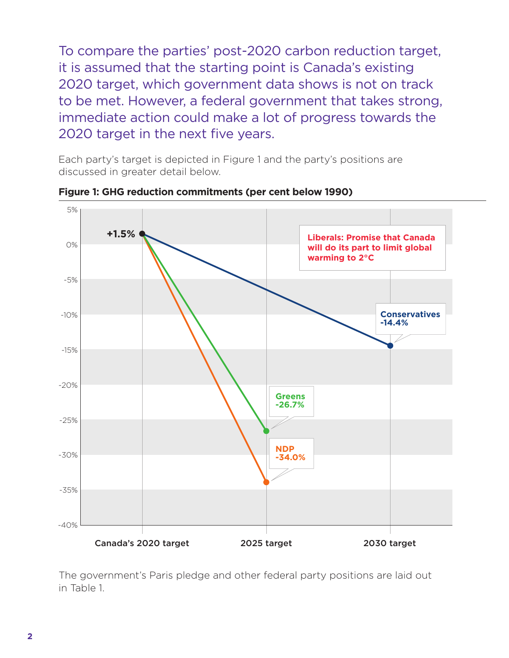To compare the parties' post-2020 carbon reduction target, it is assumed that the starting point is Canada's existing 2020 target, which government data shows is not on track to be met. However, a federal government that takes strong, immediate action could make a lot of progress towards the 2020 target in the next five years.

Each party's target is depicted in Figure 1 and the party's positions are discussed in greater detail below.



**Figure 1: GHG reduction commitments (per cent below 1990)**

The government's Paris pledge and other federal party positions are laid out in Table 1.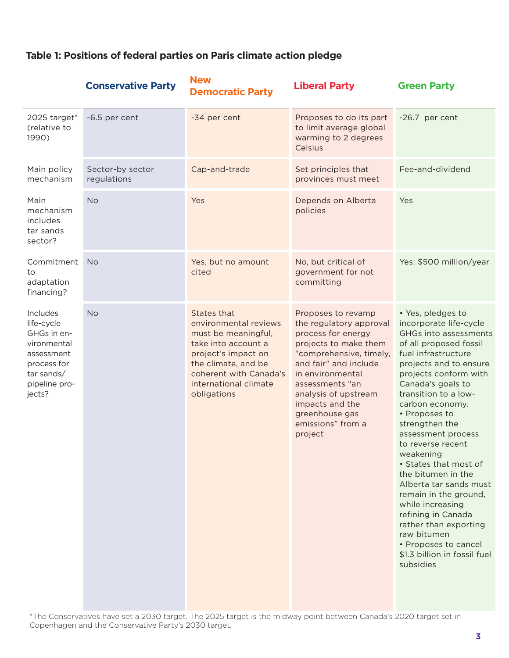|                                                                                                                            | <b>Conservative Party</b>       | <b>New</b><br><b>Democratic Party</b>                                                                                                                                                              | <b>Liberal Party</b>                                                                                                                                                                                                                                                                 | <b>Green Party</b>                                                                                                                                                                                                                                                                                                                                                                                                                                                                                                                                                                           |
|----------------------------------------------------------------------------------------------------------------------------|---------------------------------|----------------------------------------------------------------------------------------------------------------------------------------------------------------------------------------------------|--------------------------------------------------------------------------------------------------------------------------------------------------------------------------------------------------------------------------------------------------------------------------------------|----------------------------------------------------------------------------------------------------------------------------------------------------------------------------------------------------------------------------------------------------------------------------------------------------------------------------------------------------------------------------------------------------------------------------------------------------------------------------------------------------------------------------------------------------------------------------------------------|
| 2025 target*<br>(relative to<br>1990)                                                                                      | -6.5 per cent                   | -34 per cent                                                                                                                                                                                       | Proposes to do its part<br>to limit average global<br>warming to 2 degrees<br>Celsius                                                                                                                                                                                                | -26.7 per cent                                                                                                                                                                                                                                                                                                                                                                                                                                                                                                                                                                               |
| Main policy<br>mechanism                                                                                                   | Sector-by sector<br>regulations | Cap-and-trade                                                                                                                                                                                      | Set principles that<br>provinces must meet                                                                                                                                                                                                                                           | Fee-and-dividend                                                                                                                                                                                                                                                                                                                                                                                                                                                                                                                                                                             |
| Main<br>mechanism<br>includes<br>tar sands<br>sector?                                                                      | <b>No</b>                       | Yes                                                                                                                                                                                                | Depends on Alberta<br>policies                                                                                                                                                                                                                                                       | Yes                                                                                                                                                                                                                                                                                                                                                                                                                                                                                                                                                                                          |
| Commitment<br>to<br>adaptation<br>financing?                                                                               | <b>No</b>                       | Yes, but no amount<br>cited                                                                                                                                                                        | No, but critical of<br>government for not<br>committing                                                                                                                                                                                                                              | Yes: \$500 million/year                                                                                                                                                                                                                                                                                                                                                                                                                                                                                                                                                                      |
| Includes<br>life-cycle<br>GHGs in en-<br>vironmental<br>assessment<br>process for<br>tar sands/<br>pipeline pro-<br>jects? | <b>No</b>                       | States that<br>environmental reviews<br>must be meaningful,<br>take into account a<br>project's impact on<br>the climate, and be<br>coherent with Canada's<br>international climate<br>obligations | Proposes to revamp<br>the regulatory approval<br>process for energy<br>projects to make them<br>"comprehensive, timely,<br>and fair" and include<br>in environmental<br>assessments "an<br>analysis of upstream<br>impacts and the<br>greenhouse gas<br>emissions" from a<br>project | • Yes, pledges to<br>incorporate life-cycle<br>GHGs into assessments<br>of all proposed fossil<br>fuel infrastructure<br>projects and to ensure<br>projects conform with<br>Canada's goals to<br>transition to a low-<br>carbon economy.<br>• Proposes to<br>strengthen the<br>assessment process<br>to reverse recent<br>weakening<br>• States that most of<br>the bitumen in the<br>Alberta tar sands must<br>remain in the ground,<br>while increasing<br>refining in Canada<br>rather than exporting<br>raw bitumen<br>• Proposes to cancel<br>\$1.3 billion in fossil fuel<br>subsidies |

#### **Table 1: Positions of federal parties on Paris climate action pledge**

\*The Conservatives have set a 2030 target. The 2025 target is the midway point between Canada's 2020 target set in Copenhagen and the Conservative Party's 2030 target.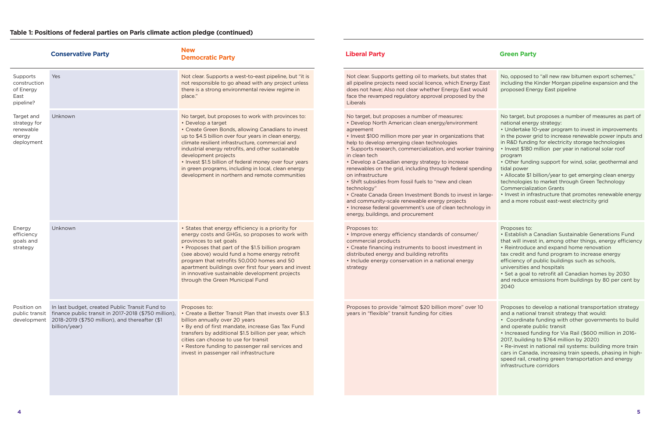|                                                                 | <b>Conservative Party</b>                                                                                                                                                 | <b>New</b><br><b>Democratic Party</b>                                                                                                                                                                                                                                                                                                                                                                                                                                                        | <b>Liberal Party</b>                                                                                                                                                                                                                                                                                                                                                                                                                                                                                                                                                                                                                                                                                                                           | <b>Green Party</b>                                                                                                                                                                                                                                   |
|-----------------------------------------------------------------|---------------------------------------------------------------------------------------------------------------------------------------------------------------------------|----------------------------------------------------------------------------------------------------------------------------------------------------------------------------------------------------------------------------------------------------------------------------------------------------------------------------------------------------------------------------------------------------------------------------------------------------------------------------------------------|------------------------------------------------------------------------------------------------------------------------------------------------------------------------------------------------------------------------------------------------------------------------------------------------------------------------------------------------------------------------------------------------------------------------------------------------------------------------------------------------------------------------------------------------------------------------------------------------------------------------------------------------------------------------------------------------------------------------------------------------|------------------------------------------------------------------------------------------------------------------------------------------------------------------------------------------------------------------------------------------------------|
| Supports<br>construction<br>of Energy<br>East<br>pipeline?      | Yes                                                                                                                                                                       | Not clear. Supports a west-to-east pipeline, but "it is<br>not responsible to go ahead with any project unless<br>there is a strong environmental review regime in<br>place."                                                                                                                                                                                                                                                                                                                | Not clear. Supports getting oil to markets, but states that<br>all pipeline projects need social licence, which Energy East<br>does not have; Also not clear whether Energy East would<br>face the revamped regulatory approval proposed by the<br>Liberals                                                                                                                                                                                                                                                                                                                                                                                                                                                                                    | No, opposed to<br>including the k<br>proposed Ener                                                                                                                                                                                                   |
| Target and<br>strategy for<br>renewable<br>energy<br>deployment | Unknown                                                                                                                                                                   | No target, but proposes to work with provinces to:<br>• Develop a target<br>• Create Green Bonds, allowing Canadians to invest<br>up to \$4.5 billion over four years in clean energy,<br>climate resilient infrastructure, commercial and<br>industrial energy retrofits, and other sustainable<br>development projects<br>• Invest \$1.5 billion of federal money over four years<br>in green programs, including in local, clean energy<br>development in northern and remote communities | No target, but proposes a number of measures:<br>• Develop North American clean energy/environment<br>agreement<br>• Invest \$100 million more per year in organizations that<br>help to develop emerging clean technologies<br>· Supports research, commercialization, and worker training<br>in clean tech<br>• Develop a Canadian energy strategy to increase<br>renewables on the grid, including through federal spending<br>on infrastructure<br>• Shift subsidies from fossil fuels to "new and clean<br>technology"<br>• Create Canada Green Investment Bonds to invest in large-<br>and community-scale renewable energy projects<br>• Increase federal government's use of clean technology in<br>energy, buildings, and procurement | No target, but<br>national energ<br>• Undertake 10<br>in the power g<br>in R&D funding<br>· Invest \$180 n<br>program<br>• Other fundin<br>tidal power<br>• Allocate \$1 b<br>technologies t<br>Commercializa<br>• Invest in infra<br>and a more rol |
| Energy<br>efficiency<br>goals and<br>strategy                   | Unknown                                                                                                                                                                   | • States that energy efficiency is a priority for<br>energy costs and GHGs, so proposes to work with<br>provinces to set goals<br>• Proposes that part of the \$1.5 billion program<br>(see above) would fund a home energy retrofit<br>program that retrofits 50,000 homes and 50<br>apartment buildings over first four years and invest<br>in innovative sustainable development projects<br>through the Green Municipal Fund                                                             | Proposes to:<br>• Improve energy efficiency standards of consumer/<br>commercial products<br>• Create financing instruments to boost investment in<br>distributed energy and building retrofits<br>• Include energy conservation in a national energy<br>strategy                                                                                                                                                                                                                                                                                                                                                                                                                                                                              | Proposes to:<br>· Establish a C<br>that will invest<br>• Reintroduce<br>tax credit and<br>efficiency of p<br>universities an<br>· Set a goal to<br>and reduce en<br>2040                                                                             |
| Position on<br>public transit<br>development                    | In last budget, created Public Transit Fund to<br>finance public transit in 2017-2018 (\$750 million),<br>2018-2019 (\$750 million), and thereafter (\$1<br>billion/year) | Proposes to:<br>• Create a Better Transit Plan that invests over \$1.3<br>billion annually over 20 years<br>• By end of first mandate, increase Gas Tax Fund<br>transfers by additional \$1.5 billion per year, which<br>cities can choose to use for transit<br>• Restore funding to passenger rail services and<br>invest in passenger rail infrastructure                                                                                                                                 | Proposes to provide "almost \$20 billion more" over 10<br>years in "flexible" transit funding for cities                                                                                                                                                                                                                                                                                                                                                                                                                                                                                                                                                                                                                                       | Proposes to d<br>and a national<br>• Coordinate<br>and operate p<br>• Increased fu<br>2017, building<br>· Re-invest in<br>cars in Canada<br>speed rail, cre<br>infrastructure                                                                        |

| t<br>ıst<br>d            | No, opposed to "all new raw bitumen export schemes,"<br>including the Kinder Morgan pipeline expansion and the<br>proposed Energy East pipeline                                                                                                                                                                                                                                                                                                                                                                                                                                                                                                                                |
|--------------------------|--------------------------------------------------------------------------------------------------------------------------------------------------------------------------------------------------------------------------------------------------------------------------------------------------------------------------------------------------------------------------------------------------------------------------------------------------------------------------------------------------------------------------------------------------------------------------------------------------------------------------------------------------------------------------------|
| ning<br>ing<br>ge-<br>in | No target, but proposes a number of measures as part of<br>national energy strategy:<br>• Undertake 10-year program to invest in improvements<br>in the power grid to increase renewable power inputs and<br>in R&D funding for electricity storage technologies<br>• Invest \$180 million per year in national solar roof<br>program<br>• Other funding support for wind, solar, geothermal and<br>tidal power<br>• Allocate \$1 billion/year to get emerging clean energy<br>technologies to market through Green Technology<br><b>Commercialization Grants</b><br>• Invest in infrastructure that promotes renewable energy<br>and a more robust east-west electricity grid |
|                          | Proposes to:<br>• Establish a Canadian Sustainable Generations Fund<br>that will invest in, among other things, energy efficiency<br>• Reintroduce and expand home renovation<br>tax credit and fund program to increase energy<br>efficiency of public buildings such as schools,<br>universities and hospitals<br>• Set a goal to retrofit all Canadian homes by 2030<br>and reduce emissions from buildings by 80 per cent by<br>2040                                                                                                                                                                                                                                       |
|                          | Proposes to develop a national transportation strategy<br>and a national transit strategy that would:<br>Coordinate funding with other governments to build<br>and operate public transit<br>• Increased funding for Via Rail (\$600 million in 2016-<br>2017, building to \$764 million by 2020)<br>· Re-invest in national rail systems: building more train<br>cars in Canada, increasing train speeds, phasing in high-<br>speed rail, creating green transportation and energy<br>infrastructure corridors                                                                                                                                                                |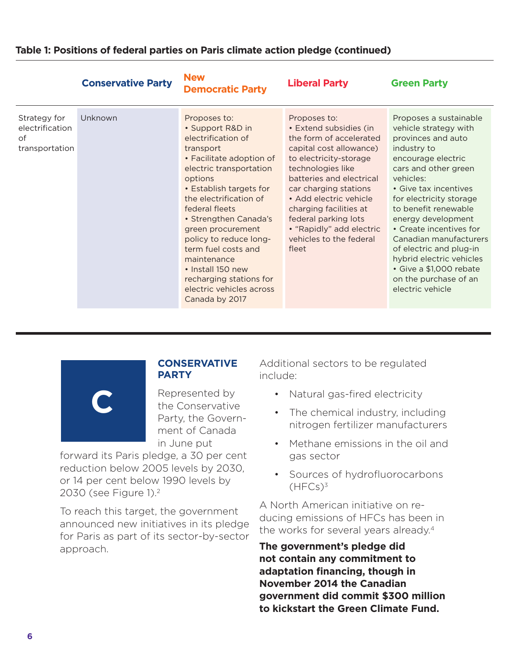|                                                         | <b>Conservative Party</b> | <b>New</b><br><b>Democratic Party</b>                                                                                                                                                                                                                                                                                                                                                                                    | <b>Liberal Party</b>                                                                                                                                                                                                                                                                                                                         | <b>Green Party</b>                                                                                                                                                                                                                                                                                                                                                                                                                    |
|---------------------------------------------------------|---------------------------|--------------------------------------------------------------------------------------------------------------------------------------------------------------------------------------------------------------------------------------------------------------------------------------------------------------------------------------------------------------------------------------------------------------------------|----------------------------------------------------------------------------------------------------------------------------------------------------------------------------------------------------------------------------------------------------------------------------------------------------------------------------------------------|---------------------------------------------------------------------------------------------------------------------------------------------------------------------------------------------------------------------------------------------------------------------------------------------------------------------------------------------------------------------------------------------------------------------------------------|
| Strategy for<br>electrification<br>of<br>transportation | Unknown                   | Proposes to:<br>• Support R&D in<br>electrification of<br>transport<br>• Facilitate adoption of<br>electric transportation<br>options<br>• Establish targets for<br>the electrification of<br>federal fleets<br>• Strengthen Canada's<br>green procurement<br>policy to reduce long-<br>term fuel costs and<br>maintenance<br>• Install 150 new<br>recharging stations for<br>electric vehicles across<br>Canada by 2017 | Proposes to:<br>• Extend subsidies (in<br>the form of accelerated<br>capital cost allowance)<br>to electricity-storage<br>technologies like<br>batteries and electrical<br>car charging stations<br>• Add electric vehicle<br>charging facilities at<br>federal parking lots<br>• "Rapidly" add electric<br>vehicles to the federal<br>fleet | Proposes a sustainable<br>vehicle strategy with<br>provinces and auto<br>industry to<br>encourage electric<br>cars and other green<br>vehicles:<br>• Give tax incentives<br>for electricity storage<br>to benefit renewable<br>energy development<br>• Create incentives for<br>Canadian manufacturers<br>of electric and plug-in<br>hybrid electric vehicles<br>• Give a \$1,000 rebate<br>on the purchase of an<br>electric vehicle |



#### **CONSERVATIVE PARTY**

Represented by the Conservative Party, the Government of Canada in June put

forward its Paris pledge, a 30 per cent reduction below 2005 levels by 2030, or 14 per cent below 1990 levels by 2030 (see Figure 1).2

To reach this target, the government announced new initiatives in its pledge for Paris as part of its sector-by-sector approach.

Additional sectors to be regulated include:

- Natural gas-fired electricity
- The chemical industry, including nitrogen fertilizer manufacturers
- Methane emissions in the oil and gas sector
- Sources of hydrofluorocarbons  $(HFCs)<sup>3</sup>$

A North American initiative on reducing emissions of HFCs has been in the works for several years already.<sup>4</sup>

**The government's pledge did not contain any commitment to adaptation financing, though in November 2014 the Canadian government did commit \$300 million to kickstart the Green Climate Fund.**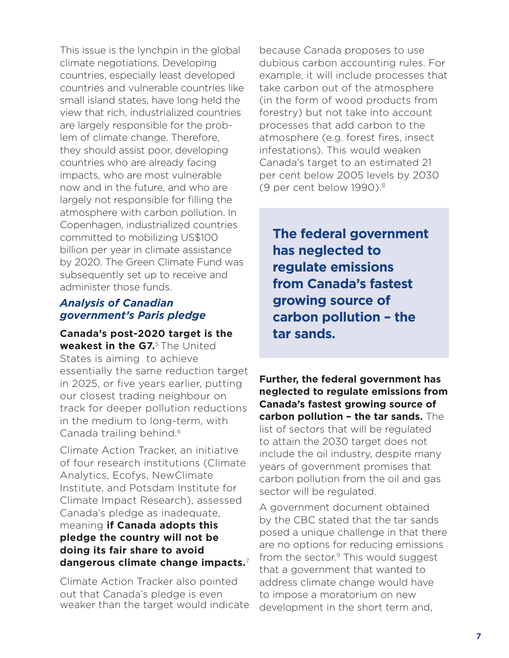This issue is the lynchpin in the global climate negotiations. Developing countries, especially least developed countries and vulnerable countries like small island states, have long held the view that rich, industrialized countries are largely responsible for the problem of climate change. Therefore, they should assist poor, developing countries who are already facing impacts, who are most vulnerable now and in the future, and who are largely not responsible for filling the atmosphere with carbon pollution. In Copenhagen, industrialized countries committed to mobilizing US\$100 billion per year in climate assistance by 2020. The Green Climate Fund was subsequently set up to receive and administer those funds.

#### *Analysis of Canadian government's Paris pledge*

**Canada's post-2020 target is the weakest in the G7.**5 The United States is aiming to achieve essentially the same reduction target in 2025, or five years earlier, putting our closest trading neighbour on track for deeper pollution reductions in the medium to long-term, with Canada trailing behind.<sup>6</sup>

Climate Action Tracker, an initiative of four research institutions (Climate Analytics, Ecofys, NewClimate Institute, and Potsdam Institute for Climate Impact Research), assessed Canada's pledge as inadequate, meaning **if Canada adopts this pledge the country will not be doing its fair share to avoid dangerous climate change impacts.**<sup>7</sup>

Climate Action Tracker also pointed out that Canada's pledge is even weaker than the target would indicate because Canada proposes to use dubious carbon accounting rules. For example, it will include processes that take carbon out of the atmosphere (in the form of wood products from forestry) but not take into account processes that add carbon to the atmosphere (e.g. forest fires, insect infestations). This would weaken Canada's target to an estimated 21 per cent below 2005 levels by 2030 (9 per cent below 1990).8

**The federal government has neglected to regulate emissions from Canada's fastest growing source of carbon pollution – the tar sands.**

**Further, the federal government has neglected to regulate emissions from Canada's fastest growing source of carbon pollution – the tar sands.** The list of sectors that will be regulated to attain the 2030 target does not include the oil industry, despite many years of government promises that carbon pollution from the oil and gas sector will be regulated.

A government document obtained by the CBC stated that the tar sands posed a unique challenge in that there are no options for reducing emissions from the sector. $9$  This would suggest that a government that wanted to address climate change would have to impose a moratorium on new development in the short term and,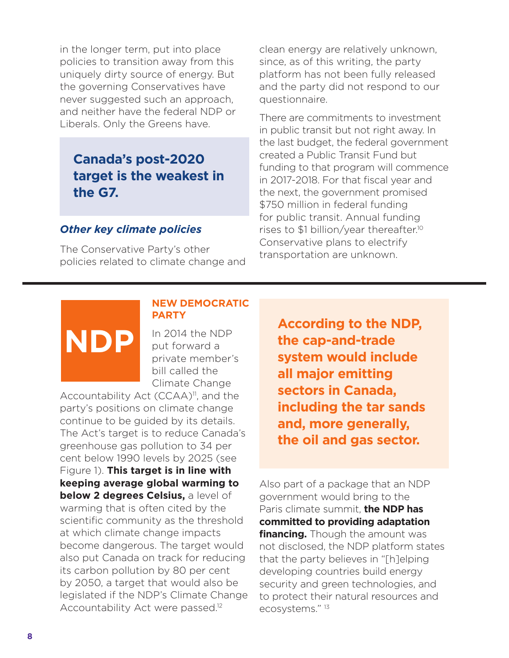in the longer term, put into place policies to transition away from this uniquely dirty source of energy. But the governing Conservatives have never suggested such an approach, and neither have the federal NDP or Liberals. Only the Greens have.

### **Canada's post-2020 target is the weakest in the G7.**

#### *Other key climate policies*

**NDP**

The Conservative Party's other policies related to climate change and clean energy are relatively unknown, since, as of this writing, the party platform has not been fully released and the party did not respond to our questionnaire.

There are commitments to investment in public transit but not right away. In the last budget, the federal government created a Public Transit Fund but funding to that program will commence in 2017-2018. For that fiscal year and the next, the government promised \$750 million in federal funding for public transit. Annual funding rises to \$1 billion/year thereafter.10 Conservative plans to electrify transportation are unknown.

#### **NEW DEMOCRATIC PARTY**

In 2014 the NDP put forward a private member's bill called the Climate Change

Accountability Act  $(CCAA)^{11}$ , and the party's positions on climate change continue to be guided by its details. The Act's target is to reduce Canada's greenhouse gas pollution to 34 per cent below 1990 levels by 2025 (see Figure 1). **This target is in line with keeping average global warming to below 2 degrees Celsius,** a level of warming that is often cited by the scientific community as the threshold at which climate change impacts become dangerous. The target would also put Canada on track for reducing its carbon pollution by 80 per cent by 2050, a target that would also be legislated if the NDP's Climate Change Accountability Act were passed.<sup>12</sup>

**According to the NDP, the cap-and-trade system would include all major emitting sectors in Canada, including the tar sands and, more generally, the oil and gas sector.**

Also part of a package that an NDP government would bring to the Paris climate summit, **the NDP has committed to providing adaptation financing.** Though the amount was not disclosed, the NDP platform states that the party believes in "[h]elping developing countries build energy security and green technologies, and to protect their natural resources and ecosystems." 13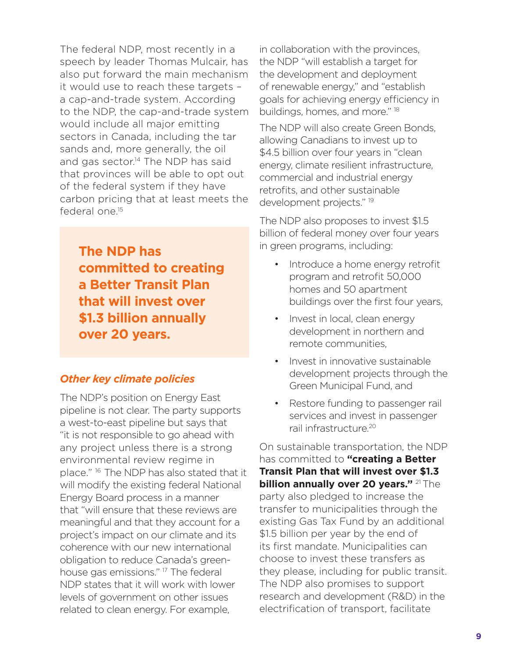The federal NDP, most recently in a speech by leader Thomas Mulcair, has also put forward the main mechanism it would use to reach these targets – a cap-and-trade system. According to the NDP, the cap-and-trade system would include all major emitting sectors in Canada, including the tar sands and, more generally, the oil and gas sector.<sup>14</sup> The NDP has said that provinces will be able to opt out of the federal system if they have carbon pricing that at least meets the federal one<sup>15</sup>

**The NDP has committed to creating a Better Transit Plan that will invest over \$1.3 billion annually over 20 years.**

#### *Other key climate policies*

The NDP's position on Energy East pipeline is not clear. The party supports a west-to-east pipeline but says that "it is not responsible to go ahead with any project unless there is a strong environmental review regime in place."<sup>16</sup> The NDP has also stated that it will modify the existing federal National Energy Board process in a manner that "will ensure that these reviews are meaningful and that they account for a project's impact on our climate and its coherence with our new international obligation to reduce Canada's greenhouse gas emissions." <sup>17</sup> The federal NDP states that it will work with lower levels of government on other issues related to clean energy. For example,

in collaboration with the provinces, the NDP "will establish a target for the development and deployment of renewable energy," and "establish goals for achieving energy efficiency in buildings, homes, and more." 18

The NDP will also create Green Bonds, allowing Canadians to invest up to \$4.5 billion over four years in "clean energy, climate resilient infrastructure, commercial and industrial energy retrofits, and other sustainable development projects." 19

The NDP also proposes to invest \$1.5 billion of federal money over four years in green programs, including:

- Introduce a home energy retrofit program and retrofit 50,000 homes and 50 apartment buildings over the first four years,
- Invest in local, clean energy development in northern and remote communities,
- Invest in innovative sustainable development projects through the Green Municipal Fund, and
- Restore funding to passenger rail services and invest in passenger rail infrastructure.20

On sustainable transportation, the NDP has committed to **"creating a Better Transit Plan that will invest over \$1.3 billion annually over 20 years."** 21 The party also pledged to increase the transfer to municipalities through the existing Gas Tax Fund by an additional \$1.5 billion per year by the end of its first mandate. Municipalities can choose to invest these transfers as they please, including for public transit. The NDP also promises to support research and development (R&D) in the electrification of transport, facilitate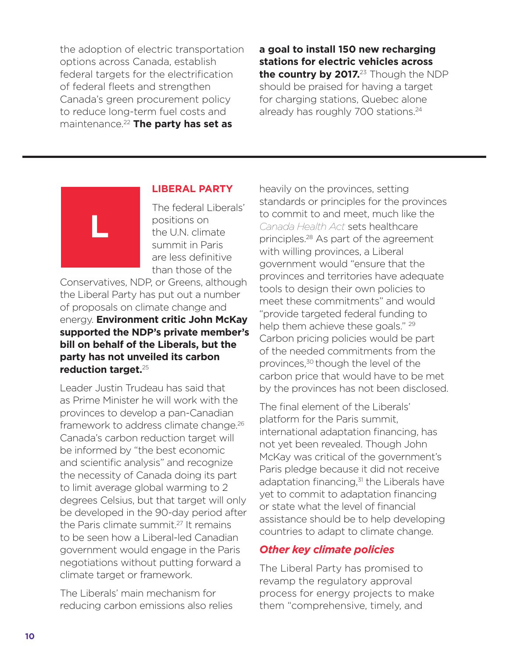the adoption of electric transportation options across Canada, establish federal targets for the electrification of federal fleets and strengthen Canada's green procurement policy to reduce long-term fuel costs and maintenance.22 **The party has set as** 

**a goal to install 150 new recharging stations for electric vehicles across**  the country by 2017.<sup>23</sup> Though the NDP should be praised for having a target for charging stations, Quebec alone already has roughly 700 stations.<sup>24</sup>



#### **LIBERAL PARTY**

The federal Liberals' positions on the U.N. climate summit in Paris are less definitive than those of the

Conservatives, NDP, or Greens, although the Liberal Party has put out a number of proposals on climate change and energy. **Environment critic John McKay supported the NDP's private member's bill on behalf of the Liberals, but the party has not unveiled its carbon reduction target.**<sup>25</sup>

Leader Justin Trudeau has said that as Prime Minister he will work with the provinces to develop a pan-Canadian framework to address climate change.26 Canada's carbon reduction target will be informed by "the best economic and scientific analysis" and recognize the necessity of Canada doing its part to limit average global warming to 2 degrees Celsius, but that target will only be developed in the 90-day period after the Paris climate summit.27 It remains to be seen how a Liberal-led Canadian government would engage in the Paris negotiations without putting forward a climate target or framework.

The Liberals' main mechanism for reducing carbon emissions also relies heavily on the provinces, setting standards or principles for the provinces to commit to and meet, much like the *Canada Health Act* sets healthcare principles.28 As part of the agreement with willing provinces, a Liberal government would "ensure that the provinces and territories have adequate tools to design their own policies to meet these commitments" and would "provide targeted federal funding to help them achieve these goals." <sup>29</sup> Carbon pricing policies would be part of the needed commitments from the provinces,<sup>30</sup> though the level of the carbon price that would have to be met by the provinces has not been disclosed.

The final element of the Liberals' platform for the Paris summit, international adaptation financing, has not yet been revealed. Though John McKay was critical of the government's Paris pledge because it did not receive adaptation financing,<sup>31</sup> the Liberals have yet to commit to adaptation financing or state what the level of financial assistance should be to help developing countries to adapt to climate change.

#### *Other key climate policies*

The Liberal Party has promised to revamp the regulatory approval process for energy projects to make them "comprehensive, timely, and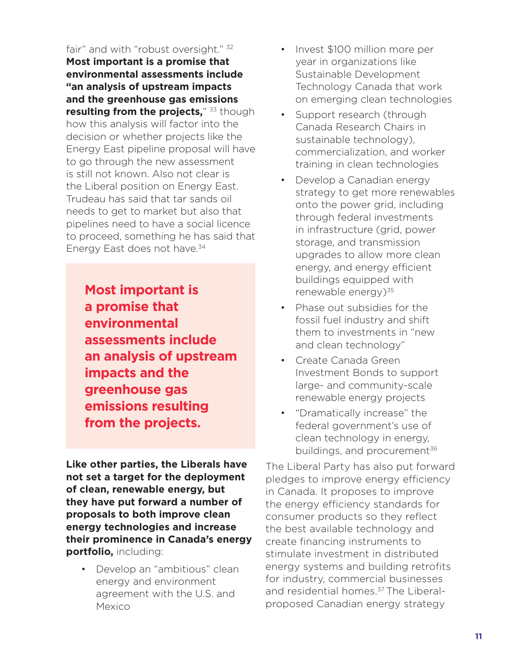fair" and with "robust oversight." 32 **Most important is a promise that environmental assessments include "an analysis of upstream impacts and the greenhouse gas emissions resulting from the projects,**" 33 though how this analysis will factor into the decision or whether projects like the Energy East pipeline proposal will have to go through the new assessment is still not known. Also not clear is the Liberal position on Energy East. Trudeau has said that tar sands oil needs to get to market but also that pipelines need to have a social licence to proceed, something he has said that Energy East does not have.<sup>34</sup>

**Most important is a promise that environmental assessments include an analysis of upstream impacts and the greenhouse gas emissions resulting from the projects.**

**Like other parties, the Liberals have not set a target for the deployment of clean, renewable energy, but they have put forward a number of proposals to both improve clean energy technologies and increase their prominence in Canada's energy portfolio,** including:

• Develop an "ambitious" clean energy and environment agreement with the U.S. and Mexico

- Invest \$100 million more per year in organizations like Sustainable Development Technology Canada that work on emerging clean technologies
- Support research (through Canada Research Chairs in sustainable technology), commercialization, and worker training in clean technologies
- Develop a Canadian energy strategy to get more renewables onto the power grid, including through federal investments in infrastructure (grid, power storage, and transmission upgrades to allow more clean energy, and energy efficient buildings equipped with renewable energy)<sup>35</sup>
- Phase out subsidies for the fossil fuel industry and shift them to investments in "new and clean technology"
- Create Canada Green Investment Bonds to support large- and community-scale renewable energy projects
- "Dramatically increase" the federal government's use of clean technology in energy, buildings, and procurement<sup>36</sup>

The Liberal Party has also put forward pledges to improve energy efficiency in Canada. It proposes to improve the energy efficiency standards for consumer products so they reflect the best available technology and create financing instruments to stimulate investment in distributed energy systems and building retrofits for industry, commercial businesses and residential homes.<sup>37</sup> The Liberalproposed Canadian energy strategy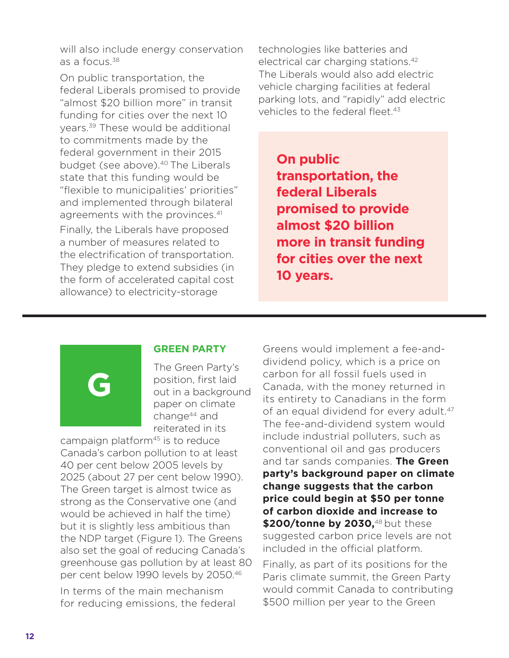will also include energy conservation as a focus.38

On public transportation, the federal Liberals promised to provide "almost \$20 billion more" in transit funding for cities over the next 10 years.39 These would be additional to commitments made by the federal government in their 2015 budget (see above).<sup>40</sup> The Liberals state that this funding would be "flexible to municipalities' priorities" and implemented through bilateral agreements with the provinces.<sup>41</sup> Finally, the Liberals have proposed a number of measures related to the electrification of transportation. They pledge to extend subsidies (in the form of accelerated capital cost allowance) to electricity-storage

technologies like batteries and electrical car charging stations.42 The Liberals would also add electric vehicle charging facilities at federal parking lots, and "rapidly" add electric vehicles to the federal fleet.<sup>43</sup>

**On public transportation, the federal Liberals promised to provide almost \$20 billion more in transit funding for cities over the next 10 years.**

# **G**

#### **GREEN PARTY**

The Green Party's position, first laid out in a background paper on climate change44 and reiterated in its

campaign platform<sup>45</sup> is to reduce Canada's carbon pollution to at least 40 per cent below 2005 levels by 2025 (about 27 per cent below 1990). The Green target is almost twice as strong as the Conservative one (and would be achieved in half the time) but it is slightly less ambitious than the NDP target (Figure 1). The Greens also set the goal of reducing Canada's greenhouse gas pollution by at least 80 per cent below 1990 levels by 2050.46

In terms of the main mechanism for reducing emissions, the federal Greens would implement a fee-anddividend policy, which is a price on carbon for all fossil fuels used in Canada, with the money returned in its entirety to Canadians in the form of an equal dividend for every adult.<sup>47</sup> The fee-and-dividend system would include industrial polluters, such as conventional oil and gas producers and tar sands companies. **The Green party's background paper on climate change suggests that the carbon price could begin at \$50 per tonne of carbon dioxide and increase to**  \$200/tonne by 2030,<sup>48</sup> but these suggested carbon price levels are not included in the official platform.

Finally, as part of its positions for the Paris climate summit, the Green Party would commit Canada to contributing \$500 million per year to the Green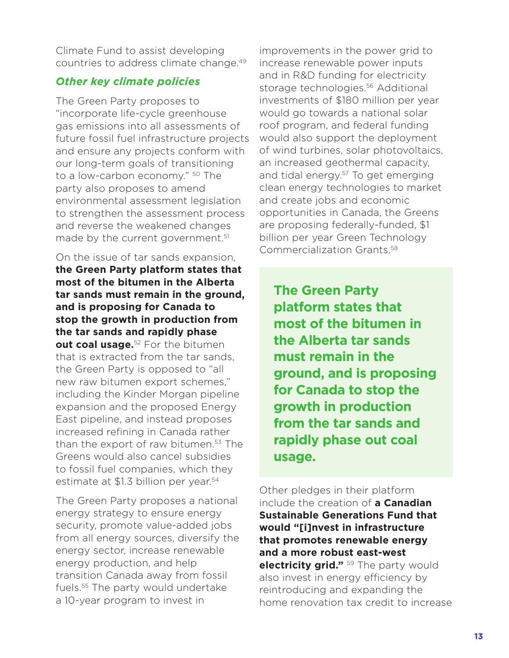Climate Fund to assist developing countries to address climate change.49

#### *Other key climate policies*

The Green Party proposes to "incorporate life-cycle greenhouse gas emissions into all assessments of future fossil fuel infrastructure projects and ensure any projects conform with our long-term goals of transitioning to a low-carbon economy." <sup>50</sup> The party also proposes to amend environmental assessment legislation to strengthen the assessment process and reverse the weakened changes made by the current government.<sup>51</sup>

On the issue of tar sands expansion, **the Green Party platform states that most of the bitumen in the Alberta tar sands must remain in the ground, and is proposing for Canada to stop the growth in production from the tar sands and rapidly phase out coal usage.**<sup>52</sup> For the bitumen that is extracted from the tar sands, the Green Party is opposed to "all new raw bitumen export schemes," including the Kinder Morgan pipeline expansion and the proposed Energy East pipeline, and instead proposes increased refining in Canada rather than the export of raw bitumen.<sup>53</sup> The Greens would also cancel subsidies to fossil fuel companies, which they estimate at \$1.3 billion per year.<sup>54</sup>

The Green Party proposes a national energy strategy to ensure energy security, promote value-added jobs from all energy sources, diversify the energy sector, increase renewable energy production, and help transition Canada away from fossil fuels.55 The party would undertake a 10-year program to invest in

improvements in the power grid to increase renewable power inputs and in R&D funding for electricity storage technologies.56 Additional investments of \$180 million per year would go towards a national solar roof program, and federal funding would also support the deployment of wind turbines, solar photovoltaics, an increased geothermal capacity, and tidal energy.<sup>57</sup> To get emerging clean energy technologies to market and create jobs and economic opportunities in Canada, the Greens are proposing federally-funded, \$1 billion per year Green Technology Commercialization Grants.58

**The Green Party platform states that most of the bitumen in the Alberta tar sands must remain in the ground, and is proposing for Canada to stop the growth in production from the tar sands and rapidly phase out coal usage.**

Other pledges in their platform include the creation of **a Canadian Sustainable Generations Fund that would "[i]nvest in infrastructure that promotes renewable energy and a more robust east-west electricity grid."** <sup>59</sup> The party would also invest in energy efficiency by reintroducing and expanding the home renovation tax credit to increase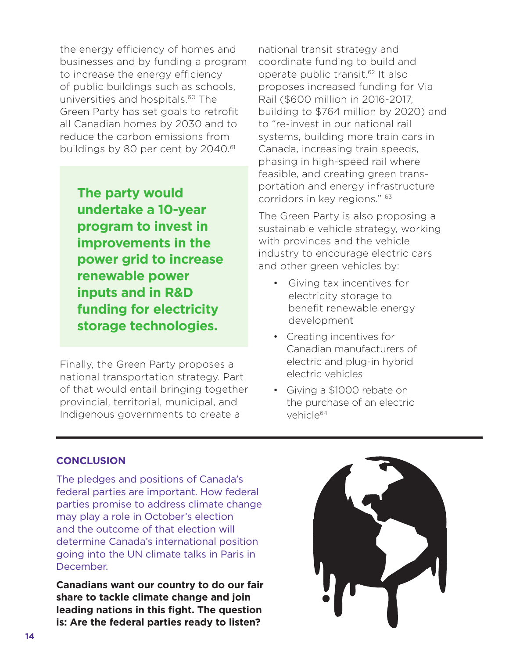the energy efficiency of homes and businesses and by funding a program to increase the energy efficiency of public buildings such as schools, universities and hospitals.<sup>60</sup> The Green Party has set goals to retrofit all Canadian homes by 2030 and to reduce the carbon emissions from buildings by 80 per cent by 2040.<sup>61</sup>

**The party would undertake a 10-year program to invest in improvements in the power grid to increase renewable power inputs and in R&D funding for electricity storage technologies.** 

Finally, the Green Party proposes a national transportation strategy. Part of that would entail bringing together provincial, territorial, municipal, and Indigenous governments to create a

national transit strategy and coordinate funding to build and operate public transit.62 It also proposes increased funding for Via Rail (\$600 million in 2016-2017, building to \$764 million by 2020) and to "re-invest in our national rail systems, building more train cars in Canada, increasing train speeds, phasing in high-speed rail where feasible, and creating green transportation and energy infrastructure corridors in key regions." 63

The Green Party is also proposing a sustainable vehicle strategy, working with provinces and the vehicle industry to encourage electric cars and other green vehicles by:

- Giving tax incentives for electricity storage to benefit renewable energy development
- Creating incentives for Canadian manufacturers of electric and plug-in hybrid electric vehicles
- Giving a \$1000 rebate on the purchase of an electric vehicle<sup>64</sup>

#### **CONCLUSION**

The pledges and positions of Canada's federal parties are important. How federal parties promise to address climate change may play a role in October's election and the outcome of that election will determine Canada's international position going into the UN climate talks in Paris in December.

**Canadians want our country to do our fair share to tackle climate change and join leading nations in this fight. The question is: Are the federal parties ready to listen?**

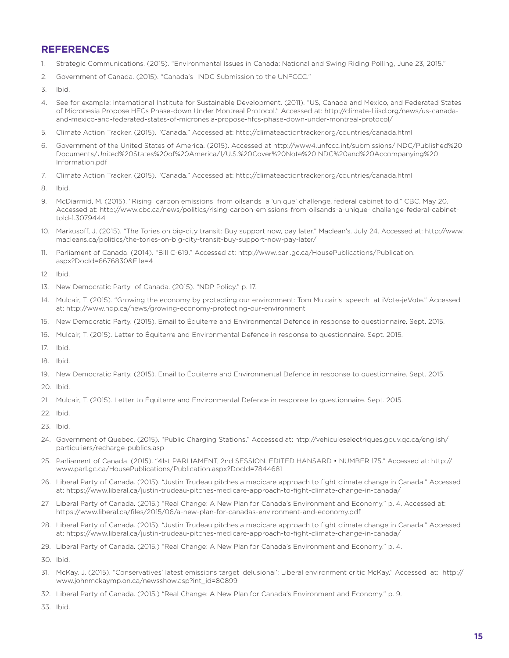#### **REFERENCES**

- 1. Strategic Communications. (2015). "Environmental Issues in Canada: National and Swing Riding Polling, June 23, 2015."
- 2. Government of Canada. (2015). "Canada's INDC Submission to the UNFCCC."
- 3. Ibid.
- 4. See for example: International Institute for Sustainable Development. (2011). "US, Canada and Mexico, and Federated States of Micronesia Propose HFCs Phase-down Under Montreal Protocol." Accessed at: http://climate-l.iisd.org/news/us-canadaand-mexico-and-federated-states-of-micronesia-propose-hfcs-phase-down-under-montreal-protocol/
- 5. Climate Action Tracker. (2015). "Canada." Accessed at: http://climateactiontracker.org/countries/canada.html
- 6. Government of the United States of America. (2015). Accessed at http://www4.unfccc.int/submissions/INDC/Published%20 Documents/United%20States%20of%20America/1/U.S.%20Cover%20Note%20INDC%20and%20Accompanying%20 Information.pdf
- 7. Climate Action Tracker. (2015). "Canada." Accessed at: http://climateactiontracker.org/countries/canada.html
- 8. Ibid.
- 9. McDiarmid, M. (2015). "Rising carbon emissions from oilsands a 'unique' challenge, federal cabinet told." CBC. May 20. Accessed at: http://www.cbc.ca/news/politics/rising-carbon-emissions-from-oilsands-a-unique- challenge-federal-cabinettold-1.3079444
- 10. Markusoff, J. (2015). "The Tories on big-city transit: Buy support now, pay later." Maclean's. July 24. Accessed at: http://www. macleans.ca/politics/the-tories-on-big-city-transit-buy-support-now-pay-later/
- 11. Parliament of Canada. (2014). "Bill C-619." Accessed at: http://www.parl.gc.ca/HousePublications/Publication. aspx?DocId=6676830&File=4
- 12. Ibid.
- 13. New Democratic Party of Canada. (2015). "NDP Policy." p. 17.
- 14. Mulcair, T. (2015). "Growing the economy by protecting our environment: Tom Mulcair's speech at iVote-jeVote." Accessed at: http://www.ndp.ca/news/growing-economy-protecting-our-environment
- 15. New Democratic Party. (2015). Email to Équiterre and Environmental Defence in response to questionnaire. Sept. 2015.
- 16. Mulcair, T. (2015). Letter to Équiterre and Environmental Defence in response to questionnaire. Sept. 2015.
- 17. Ibid.
- 18. Ibid.
- 19. New Democratic Party. (2015). Email to Équiterre and Environmental Defence in response to questionnaire. Sept. 2015.
- 20. Ibid.
- 21. Mulcair, T. (2015). Letter to Équiterre and Environmental Defence in response to questionnaire. Sept. 2015.
- 22. Ibid.
- 23. Ibid.
- 24. Government of Quebec. (2015). "Public Charging Stations." Accessed at: http://vehiculeselectriques.gouv.qc.ca/english/ particuliers/recharge-publics.asp
- 25. Parliament of Canada. (2015). "41st PARLIAMENT, 2nd SESSION. EDITED HANSARD NUMBER 175." Accessed at: http:// www.parl.gc.ca/HousePublications/Publication.aspx?DocId=7844681
- 26. Liberal Party of Canada. (2015). "Justin Trudeau pitches a medicare approach to fight climate change in Canada." Accessed at: https://www.liberal.ca/justin-trudeau-pitches-medicare-approach-to-fight-climate-change-in-canada/
- 27. Liberal Party of Canada. (2015.) "Real Change: A New Plan for Canada's Environment and Economy." p. 4. Accessed at: https://www.liberal.ca/files/2015/06/a-new-plan-for-canadas-environment-and-economy.pdf
- 28. Liberal Party of Canada. (2015). "Justin Trudeau pitches a medicare approach to fight climate change in Canada." Accessed at: https://www.liberal.ca/justin-trudeau-pitches-medicare-approach-to-fight-climate-change-in-canada/
- 29. Liberal Party of Canada. (2015.) "Real Change: A New Plan for Canada's Environment and Economy." p. 4.

30. Ibid.

- 31. McKay, J. (2015). "Conservatives' latest emissions target 'delusional': Liberal environment critic McKay." Accessed at: http:// www.johnmckaymp.on.ca/newsshow.asp?int\_id=80899
- 32. Liberal Party of Canada. (2015.) "Real Change: A New Plan for Canada's Environment and Economy." p. 9.

33. Ibid.